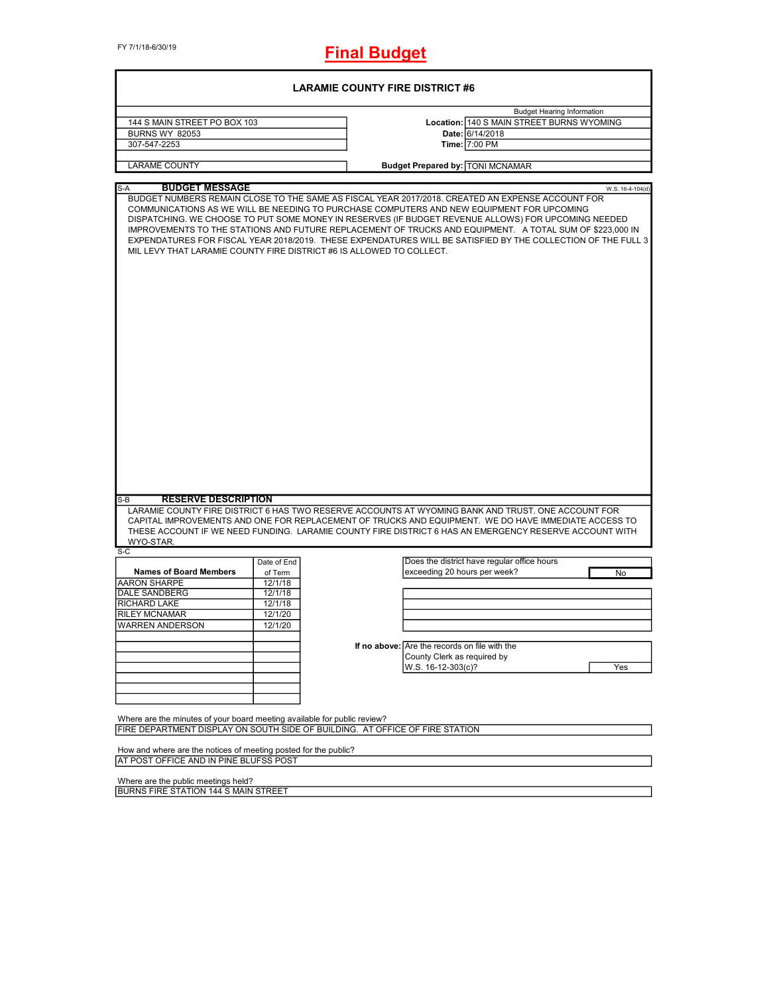FY 7/1/18-6/30/19

**Final Budget**

| <b>LARAMIE COUNTY FIRE DISTRICT #6</b>                                                                                                                   |                               |  |                                                                                                                                                                                                                                                                                                                                                                                                                                                                                                                                  |                  |  |
|----------------------------------------------------------------------------------------------------------------------------------------------------------|-------------------------------|--|----------------------------------------------------------------------------------------------------------------------------------------------------------------------------------------------------------------------------------------------------------------------------------------------------------------------------------------------------------------------------------------------------------------------------------------------------------------------------------------------------------------------------------|------------------|--|
| 144 S MAIN STREET PO BOX 103<br><b>BURNS WY 82053</b><br>307-547-2253                                                                                    |                               |  | <b>Budget Hearing Information</b><br>Location: 140 S MAIN STREET BURNS WYOMING<br>Date: 6/14/2018<br>Time: 7:00 PM                                                                                                                                                                                                                                                                                                                                                                                                               |                  |  |
| <b>LARAME COUNTY</b>                                                                                                                                     |                               |  | <b>Budget Prepared by: TONI MCNAMAR</b>                                                                                                                                                                                                                                                                                                                                                                                                                                                                                          |                  |  |
| <b>BUDGET MESSAGE</b><br>$S-A$<br>MIL LEVY THAT LARAMIE COUNTY FIRE DISTRICT #6 IS ALLOWED TO COLLECT.                                                   |                               |  | BUDGET NUMBERS REMAIN CLOSE TO THE SAME AS FISCAL YEAR 2017/2018. CREATED AN EXPENSE ACCOUNT FOR<br>COMMUNICATIONS AS WE WILL BE NEEDING TO PURCHASE COMPUTERS AND NEW EQUIPMENT FOR UPCOMING<br>DISPATCHING. WE CHOOSE TO PUT SOME MONEY IN RESERVES (IF BUDGET REVENUE ALLOWS) FOR UPCOMING NEEDED<br>IMPROVEMENTS TO THE STATIONS AND FUTURE REPLACEMENT OF TRUCKS AND EQUIPMENT. A TOTAL SUM OF \$223,000 IN<br>EXPENDATURES FOR FISCAL YEAR 2018/2019. THESE EXPENDATURES WILL BE SATISFIED BY THE COLLECTION OF THE FULL 3 | W.S. 16-4-104(d) |  |
| <b>RESERVE DESCRIPTION</b><br>$S-B$                                                                                                                      |                               |  |                                                                                                                                                                                                                                                                                                                                                                                                                                                                                                                                  |                  |  |
| WYO-STAR.                                                                                                                                                |                               |  | LARAMIE COUNTY FIRE DISTRICT 6 HAS TWO RESERVE ACCOUNTS AT WYOMING BANK AND TRUST. ONE ACCOUNT FOR<br>CAPITAL IMPROVEMENTS AND ONE FOR REPLACEMENT OF TRUCKS AND EQUIPMENT. WE DO HAVE IMMEDIATE ACCESS TO<br>THESE ACCOUNT IF WE NEED FUNDING. LARAMIE COUNTY FIRE DISTRICT 6 HAS AN EMERGENCY RESERVE ACCOUNT WITH                                                                                                                                                                                                             |                  |  |
| $S-C$                                                                                                                                                    | Date of End                   |  | Does the district have regular office hours                                                                                                                                                                                                                                                                                                                                                                                                                                                                                      |                  |  |
| <b>Names of Board Members</b><br><b>AARON SHARPE</b><br>DALE SANDBERG                                                                                    | of Term<br>12/1/18<br>12/1/18 |  | exceeding 20 hours per week?                                                                                                                                                                                                                                                                                                                                                                                                                                                                                                     | No               |  |
| RICHARD LAKE<br><b>RILEY MCNAMAR</b><br><b>WARREN ANDERSON</b>                                                                                           | 12/1/18<br>12/1/20<br>12/1/20 |  |                                                                                                                                                                                                                                                                                                                                                                                                                                                                                                                                  |                  |  |
|                                                                                                                                                          |                               |  | If no above: Are the records on file with the<br>County Clerk as required by<br>W.S. 16-12-303(c)?                                                                                                                                                                                                                                                                                                                                                                                                                               | Yes              |  |
| Where are the minutes of your board meeting available for public review?<br>FIRE DEPARTMENT DISPLAY ON SOUTH SIDE OF BUILDING. AT OFFICE OF FIRE STATION |                               |  |                                                                                                                                                                                                                                                                                                                                                                                                                                                                                                                                  |                  |  |
| How and where are the notices of meeting posted for the public?<br>AT POST OFFICE AND IN PINE BLUFSS POST                                                |                               |  |                                                                                                                                                                                                                                                                                                                                                                                                                                                                                                                                  |                  |  |

Where are the public meetings held? BURNS FIRE STATION 144 S MAIN STREET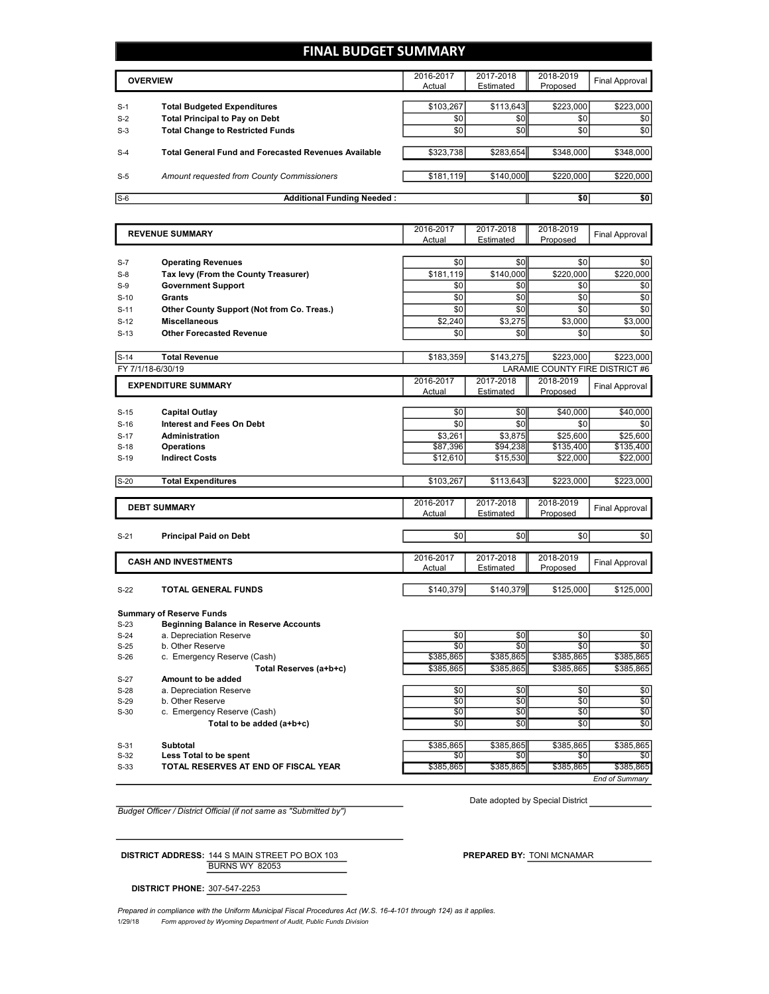## **FINAL BUDGET SUMMARY**

|       | <b>OVERVIEW</b>                                             | 2016-2017<br>Actual | 2017-2018<br>Estimated | 2018-2019<br>Proposed | Final Approval |
|-------|-------------------------------------------------------------|---------------------|------------------------|-----------------------|----------------|
| $S-1$ | <b>Total Budgeted Expenditures</b>                          | \$103,267           | \$113.643              | \$223,000             | \$223,000      |
| $S-2$ | <b>Total Principal to Pay on Debt</b>                       | \$0                 | \$0 <sub>1</sub>       | \$0                   | \$0            |
| $S-3$ | <b>Total Change to Restricted Funds</b>                     | \$0                 | \$0                    | \$0                   | \$0            |
| $S-4$ | <b>Total General Fund and Forecasted Revenues Available</b> | \$323,738           | \$283.654              | \$348,000             | \$348,000      |
| $S-5$ | Amount requested from County Commissioners                  | \$181,119           | \$140,000              | \$220,000             | \$220,000      |
| $S-6$ | <b>Additional Funding Needed:</b>                           |                     |                        | \$0                   | \$0            |

|        | <b>REVENUE SUMMARY</b>                     | 2016-2017<br>Actual | 2017-2018<br>Estimated | 2018-2019<br>Proposed | <b>Final Approval</b>           |
|--------|--------------------------------------------|---------------------|------------------------|-----------------------|---------------------------------|
|        |                                            |                     |                        |                       |                                 |
| $S-7$  | <b>Operating Revenues</b>                  | \$0                 | \$0                    | \$0                   | \$0                             |
| $S-8$  | Tax levy (From the County Treasurer)       | \$181,119           | \$140,000              | \$220,000             | \$220,000                       |
| $S-9$  | <b>Government Support</b>                  | \$0                 | \$0                    | \$0                   | \$0                             |
| $S-10$ | Grants                                     | \$0                 | \$0                    | \$0                   | \$0                             |
| $S-11$ | Other County Support (Not from Co. Treas.) | \$0                 | \$0                    | \$0                   | \$0                             |
| $S-12$ | <b>Miscellaneous</b>                       | \$2,240             | \$3,275                | \$3,000               | \$3,000                         |
| $S-13$ | <b>Other Forecasted Revenue</b>            | \$0                 | \$0                    | \$0                   | \$0                             |
|        |                                            |                     |                        |                       |                                 |
| $S-14$ | <b>Total Revenue</b>                       | \$183,359           | \$143,275              | \$223.000             | \$223,000                       |
|        | FY 7/1/18-6/30/19                          |                     |                        |                       | LARAMIE COUNTY FIRE DISTRICT #6 |
|        | <b>EXPENDITURE SUMMARY</b>                 | 2016-2017           | 2017-2018              | 2018-2019             | Final Approval                  |
|        |                                            | Actual              | Estimated              | Proposed              |                                 |
| $S-15$ | <b>Capital Outlay</b>                      | \$0                 | \$0                    | \$40,000              | \$40,000                        |
| $S-16$ | <b>Interest and Fees On Debt</b>           | \$0                 | \$0                    | \$0                   | \$0                             |
| $S-17$ | Administration                             | \$3.261             | \$3.875                | \$25,600              | \$25,600                        |
| $S-18$ | <b>Operations</b>                          | \$87,396            | \$94,238               | \$135,400             | \$135,400                       |
| $S-19$ | <b>Indirect Costs</b>                      | \$12,610            | \$15,530               | \$22,000              | \$22,000                        |
|        |                                            |                     |                        |                       |                                 |
| $S-20$ | <b>Total Expenditures</b>                  | \$103,267           | \$113,643              | \$223,000             | \$223,000                       |
|        |                                            |                     |                        |                       |                                 |
|        | <b>DEBT SUMMARY</b>                        | 2016-2017           | 2017-2018              | 2018-2019             | Final Approval                  |
|        |                                            | Actual              | Estimated              | Proposed              |                                 |
| $S-21$ | <b>Principal Paid on Debt</b>              | \$0                 | \$0                    | \$0                   | \$0                             |
|        |                                            |                     |                        |                       |                                 |
|        | <b>CASH AND INVESTMENTS</b>                | 2016-2017           | 2017-2018              | 2018-2019             |                                 |
|        |                                            | Actual              | Estimated              | Proposed              | Final Approval                  |
|        |                                            |                     |                        |                       |                                 |
| $S-22$ | <b>TOTAL GENERAL FUNDS</b>                 | \$140,379           | \$140,379              | \$125,000             | \$125,000                       |
|        |                                            |                     |                        |                       |                                 |
|        | <b>Summary of Reserve Funds</b>            |                     |                        |                       |                                 |

| $S-23$ | <b>Beginning Balance in Reserve Accounts</b> |           |           |           |                       |
|--------|----------------------------------------------|-----------|-----------|-----------|-----------------------|
| $S-24$ | a. Depreciation Reserve                      | \$0       | \$0       | \$0       | \$0                   |
| $S-25$ | <b>b</b> Other Reserve                       | \$0       | \$0       | \$0       | \$0                   |
| $S-26$ | c. Emergency Reserve (Cash)                  | \$385,865 | \$385,865 | \$385,865 | \$385,865             |
|        | Total Reserves (a+b+c)                       | \$385,865 | \$385,865 | \$385,865 | \$385.865             |
| $S-27$ | Amount to be added                           |           |           |           |                       |
| $S-28$ | a. Depreciation Reserve                      | \$0       | \$0       | \$0       | \$0                   |
| $S-29$ | b. Other Reserve                             | \$0       | \$0       | \$0       | \$0                   |
| $S-30$ | c. Emergency Reserve (Cash)                  | \$0       | \$0       | \$0       | \$0                   |
|        | Total to be added (a+b+c)                    | \$0       | \$0       | \$0       | \$0                   |
|        |                                              |           |           |           |                       |
| $S-31$ | Subtotal                                     | \$385,865 | \$385,865 | \$385.865 | \$385.865             |
| $S-32$ | Less Total to be spent                       | \$0       | \$0       | \$0       | \$0                   |
| $S-33$ | TOTAL RESERVES AT END OF FISCAL YEAR         | \$385,865 | \$385,865 | \$385,865 | \$385.865             |
|        |                                              |           |           |           | <b>End of Summary</b> |

*Budget Officer / District Official (if not same as "Submitted by")*

Date adopted by Special District

BURNS WY 82053 **DISTRICT ADDRESS:** 144 S MAIN STREET PO BOX 103 **PREPARED BY:** TONI MCNAMAR

**DISTRICT PHONE:** 307-547-2253

1/29/18 *Form approved by Wyoming Department of Audit, Public Funds Division Prepared in compliance with the Uniform Municipal Fiscal Procedures Act (W.S. 16-4-101 through 124) as it applies.*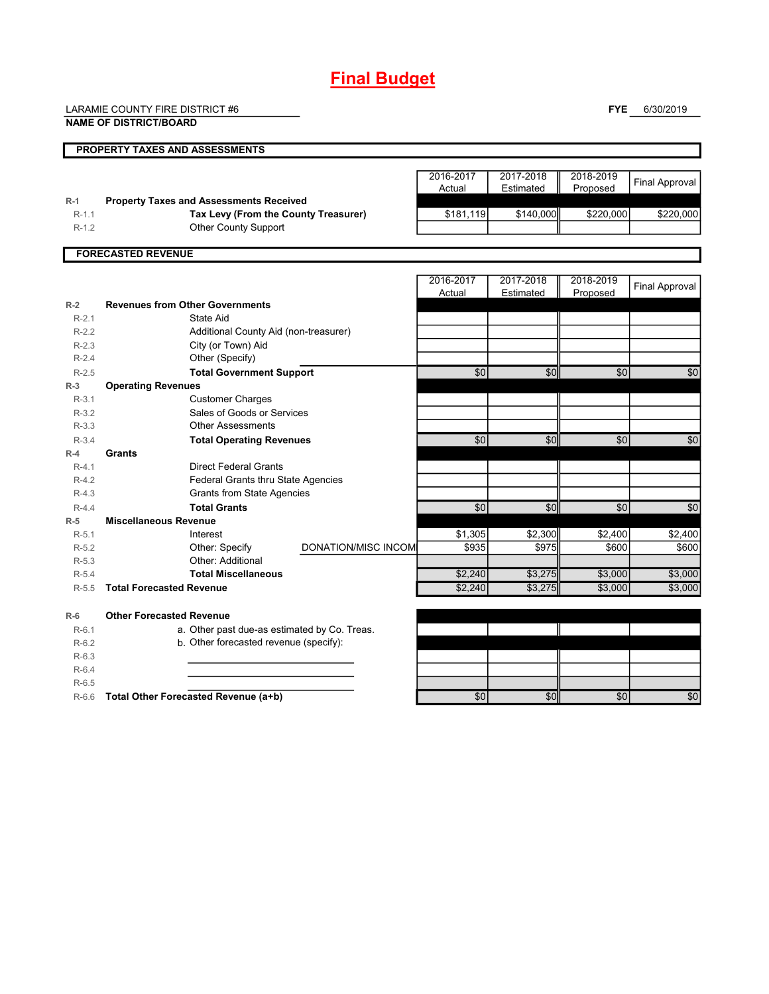# **Final Budget**

LARAMIE COUNTY FIRE DISTRICT #6

**NAME OF DISTRICT/BOARD**

**FYE** 6/30/2019

|                    | <b>PROPERTY TAXES AND ASSESSMENTS</b>                 |                     |           |           |           |                       |
|--------------------|-------------------------------------------------------|---------------------|-----------|-----------|-----------|-----------------------|
|                    |                                                       |                     |           |           |           |                       |
|                    |                                                       |                     | 2016-2017 | 2017-2018 | 2018-2019 | <b>Final Approval</b> |
| $R-1$              | <b>Property Taxes and Assessments Received</b>        |                     | Actual    | Estimated | Proposed  |                       |
| $R-1.1$            | Tax Levy (From the County Treasurer)                  |                     | \$181,119 | \$140,000 | \$220,000 | \$220,000             |
| $R-1.2$            | Other County Support                                  |                     |           |           |           |                       |
|                    |                                                       |                     |           |           |           |                       |
|                    | <b>FORECASTED REVENUE</b>                             |                     |           |           |           |                       |
|                    |                                                       |                     |           |           |           |                       |
|                    |                                                       |                     | 2016-2017 | 2017-2018 | 2018-2019 | <b>Final Approval</b> |
|                    |                                                       |                     | Actual    | Estimated | Proposed  |                       |
| $R-2$              | <b>Revenues from Other Governments</b>                |                     |           |           |           |                       |
| $R-2.1$            | State Aid                                             |                     |           |           |           |                       |
| $R-2.2$            | Additional County Aid (non-treasurer)                 |                     |           |           |           |                       |
| $R-2.3$            | City (or Town) Aid                                    |                     |           |           |           |                       |
| $R-2.4$            | Other (Specify)                                       |                     |           |           |           |                       |
| $R - 2.5$          | <b>Total Government Support</b>                       |                     | \$0       | \$0       | \$0       | \$0                   |
| $R-3$              | <b>Operating Revenues</b>                             |                     |           |           |           |                       |
| $R-3.1$<br>$R-3.2$ | <b>Customer Charges</b><br>Sales of Goods or Services |                     |           |           |           |                       |
| $R-3.3$            | <b>Other Assessments</b>                              |                     |           |           |           |                       |
| $R-3.4$            |                                                       |                     | \$0       | \$0       | \$0       | \$0                   |
| $R-4$              | <b>Total Operating Revenues</b><br>Grants             |                     |           |           |           |                       |
| $R-4.1$            | <b>Direct Federal Grants</b>                          |                     |           |           |           |                       |
| $R-4.2$            | Federal Grants thru State Agencies                    |                     |           |           |           |                       |
| $R-4.3$            | <b>Grants from State Agencies</b>                     |                     |           |           |           |                       |
| $R-4.4$            | <b>Total Grants</b>                                   |                     | \$0       | \$0       | \$0       | \$0                   |
| $R-5$              | <b>Miscellaneous Revenue</b>                          |                     |           |           |           |                       |
| $R-5.1$            | Interest                                              |                     | \$1,305   | \$2,300   | \$2,400   | \$2,400               |
| $R-5.2$            | Other: Specify                                        | DONATION/MISC INCOM | \$935     | \$975     | \$600     | \$600                 |
| $R-5.3$            | Other: Additional                                     |                     |           |           |           |                       |
| $R-5.4$            | <b>Total Miscellaneous</b>                            |                     | \$2,240   | \$3,275   | \$3,000   | \$3,000               |
| $R-5.5$            | <b>Total Forecasted Revenue</b>                       |                     | \$2,240   | \$3,275   | \$3,000   | \$3,000               |
|                    |                                                       |                     |           |           |           |                       |
| $R-6$              | <b>Other Forecasted Revenue</b>                       |                     |           |           |           |                       |
| $R-6.1$            | a. Other past due-as estimated by Co. Treas.          |                     |           |           |           |                       |
| $R-6.2$            | b. Other forecasted revenue (specify):                |                     |           |           |           |                       |
| $R-6.3$            |                                                       |                     |           |           |           |                       |
| $R-6.4$            |                                                       |                     |           |           |           |                       |
| $R-6.5$            |                                                       |                     |           |           |           |                       |
|                    | R-6.6 Total Other Forecasted Revenue (a+b)            |                     | \$0       | \$0       | \$0       | $\overline{50}$       |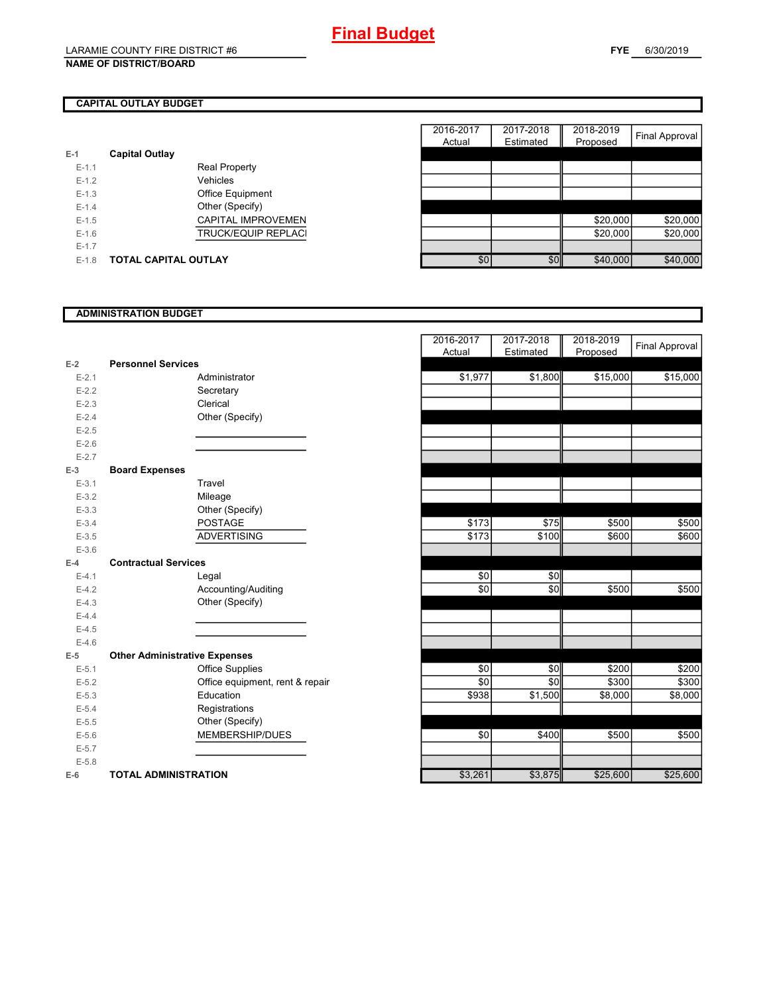## **CAPITAL OUTLAY BUDGET**

| E-1       | <b>Capital Outlay</b> |                            |
|-----------|-----------------------|----------------------------|
| $E - 1.1$ |                       | <b>Real Property</b>       |
| $E - 1.2$ |                       | Vehicles                   |
| $E - 1.3$ |                       | <b>Office Equipment</b>    |
| $F-14$    |                       | Other (Specify)            |
| $E - 1.5$ |                       | <b>CAPITAL IMPROVEMEN</b>  |
| $F-16$    |                       | <b>TRUCK/EQUIP REPLACI</b> |
| $E - 1.7$ |                       |                            |
| $F-1.8$   | TOTAL CAPITAL OUTLAY  |                            |

|         |                       |                            | 2016-2017 | 2017-2018 | 2018-2019 |                       |
|---------|-----------------------|----------------------------|-----------|-----------|-----------|-----------------------|
|         |                       |                            | Actual    | Estimated | Proposed  | <b>Final Approval</b> |
|         | <b>Capital Outlay</b> |                            |           |           |           |                       |
| $E-1.1$ |                       | <b>Real Property</b>       |           |           |           |                       |
| $E-1.2$ |                       | Vehicles                   |           |           |           |                       |
| $E-1.3$ |                       | Office Equipment           |           |           |           |                       |
| $E-1.4$ |                       | Other (Specify)            |           |           |           |                       |
| $E-1.5$ |                       | <b>CAPITAL IMPROVEMEN</b>  |           |           | \$20,000  | \$20,000              |
| $E-1.6$ |                       | <b>TRUCK/EQUIP REPLACI</b> |           |           | \$20,000  | \$20,000              |
| $E-1.7$ |                       |                            |           |           |           |                       |
| $E-1.8$ | TOTAL CAPITAL OUTLAY  |                            | \$0       | \$0       | \$40,000  | \$40,000              |

## **ADMINISTRATION BUDGET**

|           |                                      |                                 | Actual  | Estimated |
|-----------|--------------------------------------|---------------------------------|---------|-----------|
| $E-2$     | <b>Personnel Services</b>            |                                 |         |           |
| $E - 2.1$ |                                      | Administrator                   | \$1,977 | \$1,800   |
| $E-2.2$   |                                      | Secretary                       |         |           |
| $E - 2.3$ |                                      | Clerical                        |         |           |
| $E - 2.4$ |                                      | Other (Specify)                 |         |           |
| $E - 2.5$ |                                      |                                 |         |           |
| $E-2.6$   |                                      |                                 |         |           |
| $E - 2.7$ |                                      |                                 |         |           |
| $E-3$     | <b>Board Expenses</b>                |                                 |         |           |
| $E-3.1$   |                                      | Travel                          |         |           |
| $E - 3.2$ |                                      | Mileage                         |         |           |
| $E - 3.3$ |                                      | Other (Specify)                 |         |           |
| $E - 3.4$ |                                      | <b>POSTAGE</b>                  | \$173   | \$75      |
| $E - 3.5$ |                                      | <b>ADVERTISING</b>              | \$173   | \$100     |
| $E - 3.6$ |                                      |                                 |         |           |
| $E-4$     | <b>Contractual Services</b>          |                                 |         |           |
| $E - 4.1$ |                                      | Legal                           | \$0     | \$0       |
| $E-4.2$   |                                      | Accounting/Auditing             | \$0     | \$0       |
| $E-4.3$   |                                      | Other (Specify)                 |         |           |
| $E-4.4$   |                                      |                                 |         |           |
| $E-4.5$   |                                      |                                 |         |           |
| $E-4.6$   |                                      |                                 |         |           |
| $E-5$     | <b>Other Administrative Expenses</b> |                                 |         |           |
| $E - 5.1$ |                                      | <b>Office Supplies</b>          | \$0     | \$0       |
| $E - 5.2$ |                                      | Office equipment, rent & repair | \$0     | \$0       |
| $E - 5.3$ |                                      | Education                       | \$938   | \$1,500   |
| $E - 5.4$ |                                      | Registrations                   |         |           |
| $E-5.5$   |                                      | Other (Specify)                 |         |           |
| $E-5.6$   |                                      | MEMBERSHIP/DUES                 | \$0     | \$400     |
| $E - 5.7$ |                                      |                                 |         |           |
| $E - 5.8$ |                                      |                                 |         |           |
| $E-6$     | <b>TOTAL ADMINISTRATION</b>          |                                 | \$3,261 | \$3,875   |
|           |                                      |                                 |         |           |

|           |                                      | 2016-2017 | 2017-2018 | 2018-2019 | <b>Final Approval</b> |
|-----------|--------------------------------------|-----------|-----------|-----------|-----------------------|
| $E-2$     | <b>Personnel Services</b>            | Actual    | Estimated | Proposed  |                       |
| $E - 2.1$ | Administrator                        | \$1,977   | \$1,800   | \$15,000  | \$15,000              |
| $E-2.2$   | Secretary                            |           |           |           |                       |
| $E - 2.3$ | Clerical                             |           |           |           |                       |
| $E - 2.4$ | Other (Specify)                      |           |           |           |                       |
| $E-2.5$   |                                      |           |           |           |                       |
| $E - 2.6$ |                                      |           |           |           |                       |
| $E - 2.7$ |                                      |           |           |           |                       |
| $E-3$     | <b>Board Expenses</b>                |           |           |           |                       |
| $E-3.1$   | Travel                               |           |           |           |                       |
| $E-3.2$   | Mileage                              |           |           |           |                       |
| $E - 3.3$ | Other (Specify)                      |           |           |           |                       |
| $E - 3.4$ | <b>POSTAGE</b>                       | \$173     | \$75      | \$500     | \$500                 |
| $E-3.5$   | <b>ADVERTISING</b>                   | \$173     | \$100     | \$600     | \$600                 |
| $E - 3.6$ |                                      |           |           |           |                       |
| $E-4$     | <b>Contractual Services</b>          |           |           |           |                       |
| $E - 4.1$ | Legal                                | \$0       | \$0       |           |                       |
| $E-4.2$   | Accounting/Auditing                  | \$0       | \$0       | \$500     | \$500                 |
| $E-4.3$   | Other (Specify)                      |           |           |           |                       |
| $E-4.4$   |                                      |           |           |           |                       |
| $E-4.5$   |                                      |           |           |           |                       |
| $E-4.6$   |                                      |           |           |           |                       |
| $E-5$     | <b>Other Administrative Expenses</b> |           |           |           |                       |
| $E-5.1$   | <b>Office Supplies</b>               | \$0       | \$0       | \$200     | \$200                 |
| $E - 5.2$ | Office equipment, rent & repair      | \$0       | \$0       | \$300     | \$300                 |
| $E - 5.3$ | Education                            | \$938     | \$1,500   | \$8,000   | \$8,000               |
| $E - 5.4$ | Registrations                        |           |           |           |                       |
| $E - 5.5$ | Other (Specify)                      |           |           |           |                       |
| $E-5.6$   | MEMBERSHIP/DUES                      | \$0       | \$400     | \$500     | \$500                 |
| $E - 5.7$ |                                      |           |           |           |                       |
| $E - 5.8$ |                                      |           |           |           |                       |
| $E-6$     | <b>TOTAL ADMINISTRATION</b>          | \$3,261   | \$3,875   | \$25,600  | \$25,600              |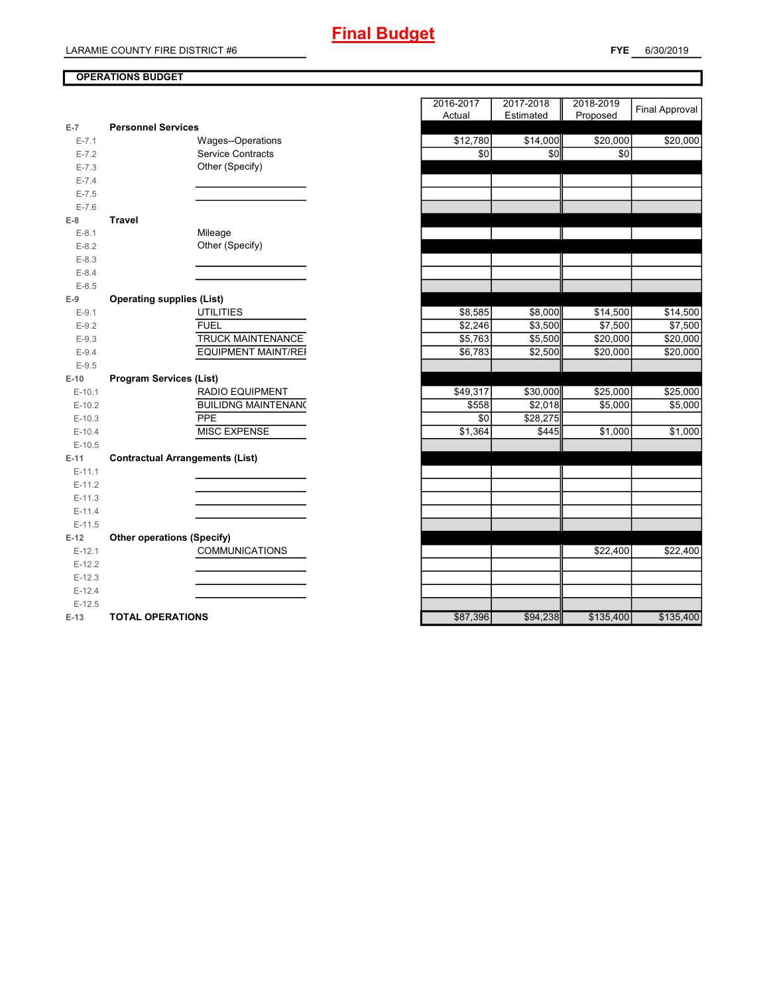## **OPERATIONS BUDGET**

| $E-7$                | <b>Personnel Services</b>              |                            | Actual   | <b>Estimated</b> Proposed |           |
|----------------------|----------------------------------------|----------------------------|----------|---------------------------|-----------|
| $E - 7.1$            | Wages--Operations                      |                            | \$12,780 | \$14,000                  | \$20,000  |
| $E - 7.2$            | <b>Service Contracts</b>               |                            | \$0      | \$0                       | \$0       |
| $E - 7.3$            | Other (Specify)                        |                            |          |                           |           |
| $E - 7.4$            |                                        |                            |          |                           |           |
| $E - 7.5$            |                                        |                            |          |                           |           |
| $E - 7.6$            |                                        |                            |          |                           |           |
| $E-8$                | <b>Travel</b>                          |                            |          |                           |           |
| $E-8.1$              | Mileage                                |                            |          |                           |           |
| $E-8.2$              | Other (Specify)                        |                            |          |                           |           |
| $E-8.3$              |                                        |                            |          |                           |           |
| $E - 8.4$            |                                        |                            |          |                           |           |
| $E - 8.5$            |                                        |                            |          |                           |           |
| $E-9$                | <b>Operating supplies (List)</b>       |                            |          |                           |           |
| $E-9.1$              | <b>UTILITIES</b>                       |                            | \$8,585  | \$8,000                   | \$14,500  |
| $E-9.2$              | <b>FUEL</b>                            |                            | \$2,246  | \$3,500                   | \$7,500   |
| $E - 9.3$            |                                        | <b>TRUCK MAINTENANCE</b>   | \$5,763  | \$5,500                   | \$20,000  |
| $E - 9.4$            |                                        | <b>EQUIPMENT MAINT/REF</b> | \$6,783  | \$2,500                   | \$20,000  |
| $E-9.5$              |                                        |                            |          |                           |           |
| $E-10$               | <b>Program Services (List)</b>         |                            |          |                           |           |
| $E-10.1$             | RADIO EQUIPMENT                        |                            | \$49,317 | \$30,000                  | \$25,000  |
| $E-10.2$             |                                        | <b>BUILIDNG MAINTENANC</b> | \$558    | \$2,018                   | \$5,000   |
| $E-10.3$             | PPE                                    |                            | \$0      | \$28,275                  |           |
| $E-10.4$             | <b>MISC EXPENSE</b>                    |                            | \$1,364  | \$445                     | \$1,000   |
| $E-10.5$             |                                        |                            |          |                           |           |
| $E-11$               | <b>Contractual Arrangements (List)</b> |                            |          |                           |           |
| $E-11.1$             |                                        |                            |          |                           |           |
| $E-11.2$             |                                        |                            |          |                           |           |
| $E-11.3$             |                                        |                            |          |                           |           |
| $E-11.4$             |                                        |                            |          |                           |           |
| $E-11.5$             |                                        |                            |          |                           |           |
| $E-12$               | <b>Other operations (Specify)</b>      |                            |          |                           |           |
| $E-12.1$             | <b>COMMUNICATIONS</b>                  |                            |          |                           | \$22,400  |
| $E-12.2$             |                                        |                            |          |                           |           |
| $E-12.3$             |                                        |                            |          |                           |           |
| $E-12.4$<br>$E-12.5$ |                                        |                            |          |                           |           |
|                      | <b>TOTAL OPERATIONS</b>                |                            |          | \$94,238                  |           |
| $E-13$               |                                        |                            | \$87,396 |                           | \$135,400 |

|                |                                        | 2016-2017 | 2017-2018 | 2018-2019 | <b>Final Approval</b> |
|----------------|----------------------------------------|-----------|-----------|-----------|-----------------------|
| $\overline{7}$ | <b>Personnel Services</b>              | Actual    | Estimated | Proposed  |                       |
| $E - 7.1$      | Wages--Operations                      | \$12,780  | \$14,000  | \$20,000  | \$20,000              |
| $E - 7.2$      | <b>Service Contracts</b>               | \$0       | \$0       | \$0       |                       |
| $E - 7.3$      | Other (Specify)                        |           |           |           |                       |
| $E - 7.4$      |                                        |           |           |           |                       |
| $E - 7.5$      |                                        |           |           |           |                       |
| $E - 7.6$      |                                        |           |           |           |                       |
| 8              | <b>Travel</b>                          |           |           |           |                       |
| $E-8.1$        | Mileage                                |           |           |           |                       |
| $E-8.2$        | Other (Specify)                        |           |           |           |                       |
| $E - 8.3$      |                                        |           |           |           |                       |
| $E - 8.4$      |                                        |           |           |           |                       |
| $E-8.5$        |                                        |           |           |           |                       |
| 9              | <b>Operating supplies (List)</b>       |           |           |           |                       |
| $E-9.1$        | <b>UTILITIES</b>                       | \$8,585   | \$8,000   | \$14,500  | \$14,500              |
| $E-9.2$        | <b>FUEL</b>                            | \$2,246   | \$3,500   | \$7,500   | \$7,500               |
| $E-9.3$        | TRUCK MAINTENANCE                      | \$5,763   | \$5,500   | \$20,000  | \$20,000              |
| $E-9.4$        | <b>EQUIPMENT MAINT/REF</b>             | \$6,783   | \$2,500   | \$20,000  | \$20,000              |
| $E - 9.5$      |                                        |           |           |           |                       |
| $-10$          | <b>Program Services (List)</b>         |           |           |           |                       |
| $E-10.1$       | <b>RADIO EQUIPMENT</b>                 | \$49,317  | \$30,000  | \$25,000  | \$25,000              |
| $E-10.2$       | <b>BUILIDNG MAINTENANO</b>             | \$558     | \$2,018   | \$5,000   | \$5,000               |
| $E-10.3$       | PPE                                    | \$0       | \$28,275  |           |                       |
| $E-10.4$       | MISC EXPENSE                           | \$1,364   | \$445     | \$1,000   | \$1,000               |
| $E-10.5$       |                                        |           |           |           |                       |
| 41.            | <b>Contractual Arrangements (List)</b> |           |           |           |                       |
| $E-11.1$       |                                        |           |           |           |                       |
| $E-11.2$       |                                        |           |           |           |                       |
| $E-11.3$       |                                        |           |           |           |                       |
| $E-11.4$       |                                        |           |           |           |                       |
| $E-11.5$       |                                        |           |           |           |                       |
| 12             | <b>Other operations (Specify)</b>      |           |           |           |                       |
| $E-12.1$       | <b>COMMUNICATIONS</b>                  |           |           | \$22,400  | \$22,400              |
| $E-12.2$       |                                        |           |           |           |                       |
| $E-12.3$       |                                        |           |           |           |                       |
| $E-12.4$       |                                        |           |           |           |                       |
| $E-12.5$       |                                        |           |           |           |                       |
| -13            | <b>TOTAL OPERATIONS</b>                | \$87.396  | \$94.238  | \$135.400 | \$135.400             |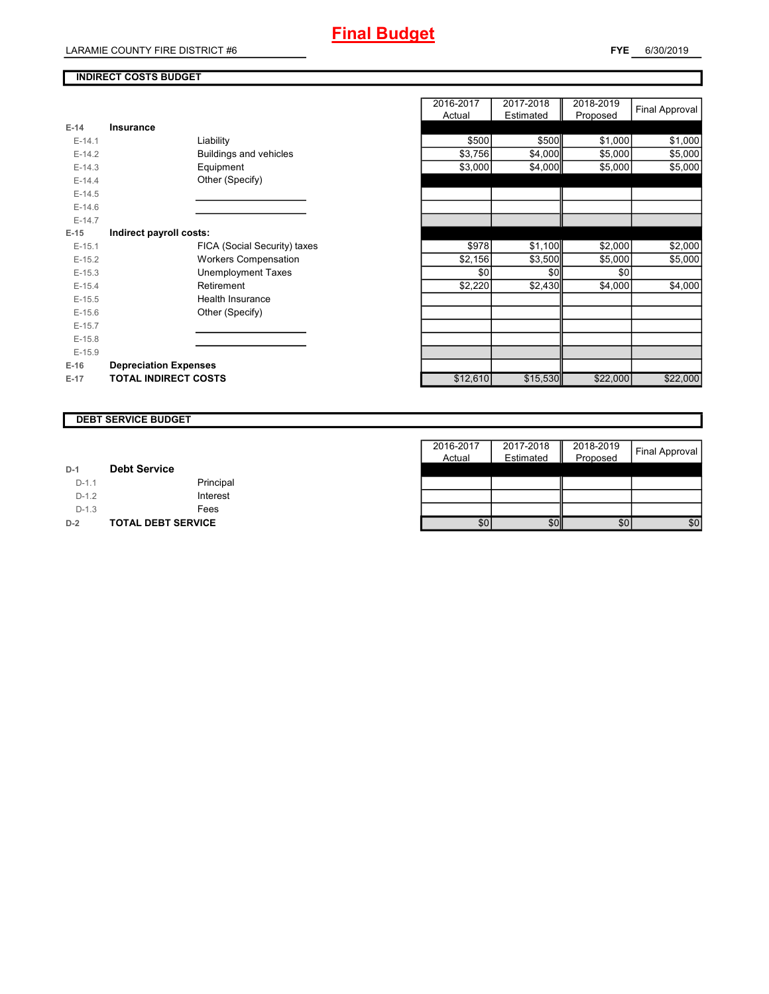## **INDIRECT COSTS BUDGET**

|          |                              | nuuai    | Lounatou | <b>II</b> I IUPUSCU |
|----------|------------------------------|----------|----------|---------------------|
| $E-14$   | Insurance                    |          |          |                     |
| $E-14.1$ | Liability                    | \$500    | \$500    | \$1,000             |
| $E-14.2$ | Buildings and vehicles       | \$3,756  | \$4,000  | \$5,000             |
| $E-14.3$ | Equipment                    | \$3,000  | \$4,000  | \$5,000             |
| $E-14.4$ | Other (Specify)              |          |          |                     |
| $E-14.5$ |                              |          |          |                     |
| $E-14.6$ |                              |          |          |                     |
| $E-14.7$ |                              |          |          |                     |
| $E-15$   | Indirect payroll costs:      |          |          |                     |
| $E-15.1$ | FICA (Social Security) taxes | \$978    | \$1,100  | \$2,000             |
| $E-15.2$ | <b>Workers Compensation</b>  | \$2,156  | \$3,500  | \$5,000             |
| $E-15.3$ | <b>Unemployment Taxes</b>    | \$0      | \$0      | \$0                 |
| $E-15.4$ | Retirement                   | \$2,220  | \$2,430  | \$4,000             |
| $E-15.5$ | <b>Health Insurance</b>      |          |          |                     |
| $E-15.6$ | Other (Specify)              |          |          |                     |
| $E-15.7$ |                              |          |          |                     |
| $E-15.8$ |                              |          |          |                     |
| $E-15.9$ |                              |          |          |                     |
| $E-16$   | <b>Depreciation Expenses</b> |          |          |                     |
| $E-17$   | <b>TOTAL INDIRECT COSTS</b>  | \$12,610 | \$15,530 | \$22,000            |
|          |                              |          |          |                     |

|          |                              | 2016-2017 | 2017-2018 | 2018-2019 |                |
|----------|------------------------------|-----------|-----------|-----------|----------------|
|          |                              | Actual    | Estimated | Proposed  | Final Approval |
| $E-14$   | <b>Insurance</b>             |           |           |           |                |
| $E-14.1$ | Liability                    | \$500     | \$500     | \$1,000   | \$1,000        |
| $E-14.2$ | Buildings and vehicles       | \$3,756   | \$4,000   | \$5,000   | \$5,000        |
| $E-14.3$ | Equipment                    | \$3,000   | \$4,000   | \$5,000   | \$5,000        |
| $E-14.4$ | Other (Specify)              |           |           |           |                |
| $E-14.5$ |                              |           |           |           |                |
| $E-14.6$ |                              |           |           |           |                |
| $E-14.7$ |                              |           |           |           |                |
| $E-15$   | Indirect payroll costs:      |           |           |           |                |
| $E-15.1$ | FICA (Social Security) taxes | \$978     | \$1,100   | \$2,000   | \$2,000        |
| $E-15.2$ | <b>Workers Compensation</b>  | \$2,156   | \$3,500   | \$5,000   | \$5,000        |
| $E-15.3$ | <b>Unemployment Taxes</b>    | \$0       | \$0       | \$0       |                |
| $E-15.4$ | Retirement                   | \$2,220   | \$2,430   | \$4,000   | \$4,000        |
| $E-15.5$ | Health Insurance             |           |           |           |                |
| $E-15.6$ | Other (Specify)              |           |           |           |                |
| $E-15.7$ |                              |           |           |           |                |
| $E-15.8$ |                              |           |           |           |                |
| $E-15.9$ |                              |           |           |           |                |
| E-16     | <b>Depreciation Expenses</b> |           |           |           |                |
| $E-17$   | <b>TOTAL INDIRECT COSTS</b>  | \$12,610  | \$15,530  | \$22,000  | \$22,000       |
|          |                              |           |           |           |                |

### **DEBT SERVICE BUDGET**

|         |                           | 2016-2017 | 2017-2018 | 2018-2019 | <b>Final Approval</b> |
|---------|---------------------------|-----------|-----------|-----------|-----------------------|
|         |                           | Actual    | Estimated | Proposed  |                       |
| $D-1$   | <b>Debt Service</b>       |           |           |           |                       |
| $D-1.1$ | Principal                 |           |           |           |                       |
| $D-1.2$ | Interest                  |           |           |           |                       |
| $D-1.3$ | Fees                      |           |           |           |                       |
| $D-2$   | <b>TOTAL DEBT SERVICE</b> | \$0       | \$0       | \$0       | \$0                   |